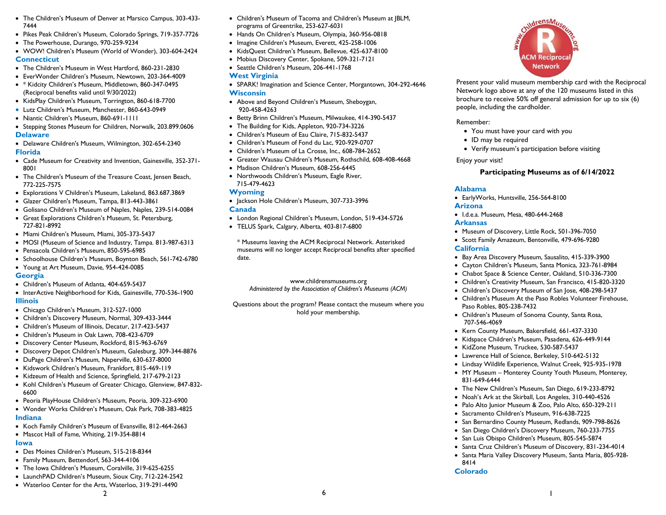- The Children's Museum of Denver at Marsico Campus, 303-433- 7444
- Pikes Peak Children's Museum, Colorado Springs, 719-357-7726
- The Powerhouse, Durango, 970-259-9234
- WOW! Children's Museum (World of Wonder), 303-604-2424 **Connecticut**
- The Children's Museum in West Hartford, 860-231-2830
- EverWonder Children's Museum, Newtown, 203-364-4009
- \* Kidcity Children's Museum, Middletown, 860-347-0495 (Reciprocal benefits valid until 9/30/2022)
- KidsPlay Children's Museum, Torrington, 860-618-7700
- Lutz Children's Museum, Manchester, 860-643-0949
- Niantic Children's Museum, 860-691-1111
- Stepping Stones Museum for Children, Norwalk, 203.899.0606 **Delaware**
- Delaware Children's Museum, Wilmington, 302-654-2340 **Florida**
- Cade Museum for Creativity and Invention, Gainesville, 352-371- 8001
- The Children's Museum of the Treasure Coast, Jensen Beach, 772-225-7575
- Explorations V Children's Museum, Lakeland, 863.687.3869
- Glazer Children's Museum, Tampa, 813-443-3861
- Golisano Children's Museum of Naples, Naples, 239-514-0084
- Great Explorations Children's Museum, St. Petersburg, 727-821-8992
- Miami Children's Museum, Miami, 305-373-5437
- MOSI (Museum of Science and Industry, Tampa. 813-987-6313
- Pensacola Children's Museum, 850-595-6985
- Schoolhouse Children's Museum, Boynton Beach, 561-742-6780
- Young at Art Museum, Davie, 954-424-0085

## **Georgia**

- Children's Museum of Atlanta, 404-659-5437
- InterActive Neighborhood for Kids, Gainesville, 770-536-1900 **Illinois**
- Chicago Children's Museum, 312-527-1000
- Children's Discovery Museum, Normal, 309-433-3444
- Children's Museum of Illinois, Decatur, 217-423-5437
- Children's Museum in Oak Lawn, 708-423-6709
- Discovery Center Museum, Rockford, 815-963-6769
- Discovery Depot Children's Museum, Galesburg, 309-344-8876
- DuPage Children's Museum, Naperville, 630-637-8000
- Kidswork Children's Museum, Frankfort, 815-469-119
- Kidzeum of Health and Science, Springfield, 217-679-2123
- Kohl Children's Museum of Greater Chicago, Glenview, 847-832- 6600
- Peoria PlayHouse Children's Museum, Peoria, 309-323-6900
- Wonder Works Children's Museum, Oak Park, 708-383-4825 **Indiana**
- Koch Family Children's Museum of Evansville, 812-464-2663
- Mascot Hall of Fame, Whiting, 219-354-8814

# **Iowa**

- Des Moines Children's Museum, 515-218-8344
- Family Museum, Bettendorf, 563-344-4106
- The Iowa Children's Museum, Coralville, 319-625-6255
- LaunchPAD Children's Museum, Sioux City, 712-224-2542

2

• Waterloo Center for the Arts, Waterloo, 319-291-4490

- Hands On Children's Museum, Olympia, 360-956-0818
- Imagine Children's Museum, Everett, 425-258-1006
- KidsQuest Children's Museum, Bellevue, 425-637-8100
- Mobius Discovery Center, Spokane, 509-321-7121
- Seattle Children's Museum, 206-441-1768

#### **West Virginia**

- SPARK! Imagination and Science Center, Morgantown, 304-292-4646 **Wisconsin**
- Above and Beyond Children's Museum, Sheboygan, 920-458-4263
- Betty Brinn Children's Museum, Milwaukee, 414-390-5437
- The Building for Kids, Appleton, 920-734-3226
- Children's Museum of Eau Claire, 715-832-5437
- Children's Museum of Fond du Lac, 920-929-0707
- Children's Museum of La Crosse, Inc., 608-784-2652
- Greater Wausau Children's Museum, Rothschild, 608-408-4668
- Madison Children's Museum, 608-256-6445
- Northwoods Children's Museum, Eagle River, 715-479-4623

# **Wyoming**

• Jackson Hole Children's Museum, 307-733-3996

#### **Canada**

- London Regional Children's Museum, London, 519-434-5726
- TELUS Spark, Calgary, Alberta, 403-817-6800

\* Museums leaving the ACM Reciprocal Network. Asterisked museums will no longer accept Reciprocal benefits after specified date.

www.childrensmuseums.org *Administered by the Association of Children's Museums (ACM)*

Questions about the program? Please contact the museum where you hold your membership.



Present your valid museum membership card with the Reciprocal Network logo above at any of the 120 museums listed in this brochure to receive 50% off general admission for up to six (6) people, including the cardholder.

Remember:

- You must have your card with you
- ID may be required
- Verify museum's participation before visiting

Enjoy your visit!

# **Participating Museums as of 6/14/2022**

## **Alabama**

- EarlyWorks, Huntsville, 256-564-8100 **Arizona**
- I.d.e.a. Museum, Mesa, 480-644-2468

### **Arkansas**

- Museum of Discovery, Little Rock, 501-396-7050
- Scott Family Amazeum, Bentonville, 479-696-9280

## **California**

8414 **Colorado**

 $\sim$  1

- Bay Area Discovery Museum, Sausalito, 415-339-3900
- Cayton Children's Museum, Santa Monica, 323-761-8984
- Chabot Space & Science Center, Oakland, 510-336-7300
- Children's Creativity Museum, San Francisco, 415-820-3320
- Children's Discovery Museum of San Jose, 408-298-5437
- Children's Museum At the Paso Robles Volunteer Firehouse, Paso Robles, 805-238-7432
- Children's Museum of Sonoma County, Santa Rosa, 707-546-4069
- Kern County Museum, Bakersfield, 661-437-3330
- Kidspace Children's Museum, Pasadena, 626-449-9144
- KidZone Museum, Truckee, 530-587-5437

• Sacramento Children's Museum, 916-638-7225

- Lawrence Hall of Science, Berkeley, 510-642-5132
- Lindsay Wildlife Experience, Walnut Creek, 925-935-1978
- MY Museum Monterey County Youth Museum, Monterey, 831-649-6444
- The New Children's Museum, San Diego, 619-233-8792 • Noah's Ark at the Skirball, Los Angeles, 310-440-4526 • Palo Alto Junior Museum & Zoo, Palo Alto, 650-329-211

• San Bernardino County Museum, Redlands, 909-798-8626 • San Diego Children's Discovery Museum, 760-233-7755 • San Luis Obispo Children's Museum, 805-545-5874 • Santa Cruz Children's Museum of Discovery, 831-234-4014 • Santa Maria Valley Discovery Museum, Santa Maria, 805-928-